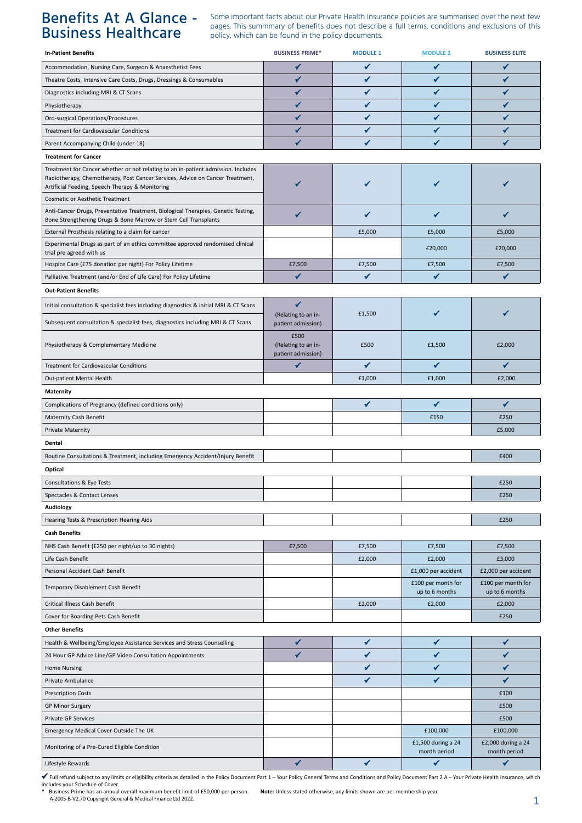## Benefits At A Glance - Business Healthcare

Some important facts about our Private Health Insurance policies are summarised over the next few pages. This summmary of benefits does not describe a full terms, conditions and exclusions of this policy, which can be found in the policy documents.

| <b>In-Patient Benefits</b>                                                                                                                           | <b>BUSINESS PRIME*</b>                            | <b>MODULE 1</b> | <b>MODULE 2</b>                      | <b>BUSINESS ELITE</b>                |
|------------------------------------------------------------------------------------------------------------------------------------------------------|---------------------------------------------------|-----------------|--------------------------------------|--------------------------------------|
| Accommodation, Nursing Care, Surgeon & Anaesthetist Fees                                                                                             | $\checkmark$                                      | $\checkmark$    | ✔                                    | ✔                                    |
| Theatre Costs, Intensive Care Costs, Drugs, Dressings & Consumables                                                                                  | ✔                                                 | ✔               | ✓                                    | ✔                                    |
| Diagnostics including MRI & CT Scans                                                                                                                 | ✔                                                 | ✔               | ✓                                    | ✔                                    |
| Physiotherapy                                                                                                                                        | ✔                                                 | ✔               | ✔                                    | ✔                                    |
| Oro-surgical Operations/Procedures                                                                                                                   | ✔                                                 | ✔               | ✔                                    | ✔                                    |
| Treatment for Cardiovascular Conditions                                                                                                              | ✔                                                 | ✔               | ✔                                    | ✔                                    |
| Parent Accompanying Child (under 18)                                                                                                                 |                                                   | ✔               | ✔                                    |                                      |
| <b>Treatment for Cancer</b>                                                                                                                          |                                                   |                 |                                      |                                      |
| Treatment for Cancer whether or not relating to an in-patient admission. Includes                                                                    |                                                   |                 |                                      |                                      |
| Radiotherapy, Chemotherapy, Post Cancer Services, Advice on Cancer Treatment,<br>Artificial Feeding, Speech Therapy & Monitoring                     |                                                   | ✔               |                                      |                                      |
| <b>Cosmetic or Aesthetic Treatment</b>                                                                                                               |                                                   |                 |                                      |                                      |
| Anti-Cancer Drugs, Preventative Treatment, Biological Therapies, Genetic Testing,<br>Bone Strengthening Drugs & Bone Marrow or Stem Cell Transplants | ✔                                                 | ✓               | ✔                                    | ✔                                    |
| External Prosthesis relating to a claim for cancer                                                                                                   |                                                   | £5,000          | £5,000                               | £5,000                               |
| Experimental Drugs as part of an ethics committee approved randomised clinical<br>trial pre agreed with us                                           |                                                   |                 | £20,000                              | £20,000                              |
| Hospice Care (£75 donation per night) For Policy Lifetime                                                                                            | £7,500                                            | £7,500          | £7,500                               | £7,500                               |
| Palliative Treatment (and/or End of Life Care) For Policy Lifetime                                                                                   | ✔                                                 | ✔               | ✔                                    | ✔                                    |
| <b>Out-Patient Benefits</b>                                                                                                                          |                                                   |                 |                                      |                                      |
| Initial consultation & specialist fees including diagnostics & initial MRI & CT Scans                                                                | ✔                                                 |                 |                                      |                                      |
| Subsequent consultation & specialist fees, diagnostics including MRI & CT Scans                                                                      | (Relating to an in-<br>patient admission)         | £1,500          |                                      |                                      |
| Physiotherapy & Complementary Medicine                                                                                                               | £500<br>(Relating to an in-<br>patient admission) | £500            | £1,500                               | £2,000                               |
| Treatment for Cardiovascular Conditions                                                                                                              | ✔                                                 | $\checkmark$    | ✔                                    | ✔                                    |
| Out-patient Mental Health                                                                                                                            |                                                   | £1,000          | £1,000                               | £2,000                               |
| <b>Maternity</b>                                                                                                                                     |                                                   |                 |                                      |                                      |
| Complications of Pregnancy (defined conditions only)                                                                                                 |                                                   | $\checkmark$    | ✔                                    | $\checkmark$                         |
| <b>Maternity Cash Benefit</b>                                                                                                                        |                                                   |                 | £150                                 | £250                                 |
| <b>Private Maternity</b>                                                                                                                             |                                                   |                 |                                      | £5,000                               |
| Dental                                                                                                                                               |                                                   |                 |                                      |                                      |
|                                                                                                                                                      |                                                   |                 |                                      | £400                                 |
| Routine Consultations & Treatment, including Emergency Accident/Injury Benefit                                                                       |                                                   |                 |                                      |                                      |
| Optical                                                                                                                                              |                                                   |                 |                                      |                                      |
| Consultations & Eye Tests                                                                                                                            |                                                   |                 |                                      | £250                                 |
| Spectacles & Contact Lenses                                                                                                                          |                                                   |                 |                                      | £250                                 |
| Audiology                                                                                                                                            |                                                   |                 |                                      |                                      |
| Hearing Tests & Prescription Hearing Aids                                                                                                            |                                                   |                 |                                      | £250                                 |
| <b>Cash Benefits</b>                                                                                                                                 |                                                   |                 |                                      |                                      |
| NHS Cash Benefit (£250 per night/up to 30 nights)                                                                                                    | £7,500                                            | £7,500          | £7,500                               | £7,500                               |
| Life Cash Benefit                                                                                                                                    |                                                   | £2,000          | £2,000                               | £3,000                               |
| Personal Accident Cash Benefit                                                                                                                       |                                                   |                 | £1,000 per accident                  | £2,000 per accident                  |
| Temporary Disablement Cash Benefit                                                                                                                   |                                                   |                 | £100 per month for<br>up to 6 months | £100 per month for<br>up to 6 months |
| Critical Illness Cash Benefit                                                                                                                        |                                                   | £2,000          | £2,000                               | £2,000                               |
| Cover for Boarding Pets Cash Benefit                                                                                                                 |                                                   |                 |                                      | £250                                 |
| <b>Other Benefits</b>                                                                                                                                |                                                   |                 |                                      |                                      |
| Health & Wellbeing/Employee Assistance Services and Stress Counselling                                                                               | ✔                                                 | ✔               | ✔                                    | ✔                                    |
| 24 Hour GP Advice Line/GP Video Consultation Appointments                                                                                            | ✔                                                 | ✔               | ✔                                    | ✔                                    |
| <b>Home Nursing</b>                                                                                                                                  |                                                   | ✔               | ✔                                    | ✔                                    |
| Private Ambulance                                                                                                                                    |                                                   | ✔               | ✔                                    | ✔                                    |
| <b>Prescription Costs</b>                                                                                                                            |                                                   |                 |                                      | £100                                 |
| <b>GP Minor Surgery</b>                                                                                                                              |                                                   |                 |                                      | £500                                 |
| Private GP Services                                                                                                                                  |                                                   |                 |                                      | £500                                 |
| Emergency Medical Cover Outside The UK                                                                                                               |                                                   |                 | £100,000                             | £100,000                             |
| Monitoring of a Pre-Cured Eligible Condition                                                                                                         |                                                   |                 | £1,500 during a 24<br>month period   | £2,000 during a 24<br>month period   |
| Lifestyle Rewards                                                                                                                                    | ✔                                                 | $\checkmark$    | ✔                                    | ✔                                    |

 $\checkmark$  Full refund subject to any limits or eligibility criteria as detailed in the Policy Document Part 1 – Your Policy General Terms and Conditions and Policy Document Part 2 A – Your Private Health Insurance, which<br>incl

\* Business Prime has an annual overall maximum benefit limit of £50,000 per person. Note: Unless stated otherwise, any limits shown are per membership year.<br>A-2005-B-V2.70 Copyright General & Medical Finance Ltd 2022.